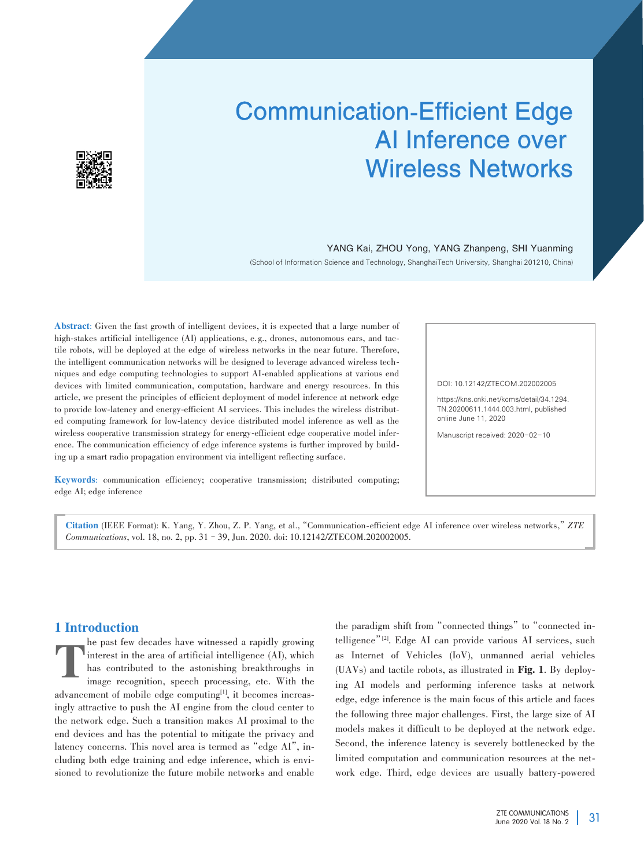

# Communication-Efficient Edge AI Inference over Wireless Networks

# YANG Kai, ZHOU Yong, YANG Zhanpeng, SHI Yuanming

(School of Information Science and Technology, ShanghaiTech University, Shanghai 201210, China)

Abstract: Given the fast growth of intelligent devices, it is expected that a large number of high-stakes artificial intelligence (AI) applications, e.g., drones, autonomous cars, and tactile robots, will be deployed at the edge of wireless networks in the near future. Therefore, the intelligent communication networks will be designed to leverage advanced wireless techniques and edge computing technologies to support AI-enabled applications at various end devices with limited communication, computation, hardware and energy resources. In this article, we present the principles of efficient deployment of model inference at network edge to provide low-latency and energy-efficient AI services. This includes the wireless distributed computing framework for low-latency device distributed model inference as well as the wireless cooperative transmission strategy for energy-efficient edge cooperative model inference. The communication efficiency of edge inference systems is further improved by building up a smart radio propagation environment via intelligent reflecting surface.

DOI: 10.12142/ZTECOM.202002005

https://kns.cnki.net/kcms/detail/34.1294. TN.20200611.1444.003.html, published online June 11, 2020

Manuscript received: 2020-02-10

Keywords: communication efficiency; cooperative transmission; distributed computing; edge AI; edge inference

Citation (IEEE Format): K. Yang, Y. Zhou, Z. P. Yang, et al.,"Communication⁃efficient edge AI inference over wireless networks,"*ZTE Communications*, vol. 18, no. 2, pp. 31–39, Jun. 2020. doi: 10.12142/ZTECOM.202002005.

## 1 Introduction

T he past few decades have witnessed a rapidly growing interest in the area of artificial intelligence (AI), which has contributed to the astonishing breakthroughs in image recognition, speech processing, etc. With the advancement of mobile edge computing<sup>[1]</sup>, it becomes increasingly attractive to push the AI engine from the cloud center to the network edge. Such a transition makes AI proximal to the end devices and has the potential to mitigate the privacy and latency concerns. This novel area is termed as "edge AI", including both edge training and edge inference, which is envisioned to revolutionize the future mobile networks and enable the paradigm shift from "connected things" to "connected intelligence"<sup>[2]</sup>. Edge AI can provide various AI services, such as Internet of Vehicles (IoV), unmanned aerial vehicles (UAVs) and tactile robots, as illustrated in Fig. 1. By deploy⁃ ing AI models and performing inference tasks at network edge, edge inference is the main focus of this article and faces the following three major challenges. First, the large size of AI models makes it difficult to be deployed at the network edge. Second, the inference latency is severely bottlenecked by the limited computation and communication resources at the network edge. Third, edge devices are usually battery-powered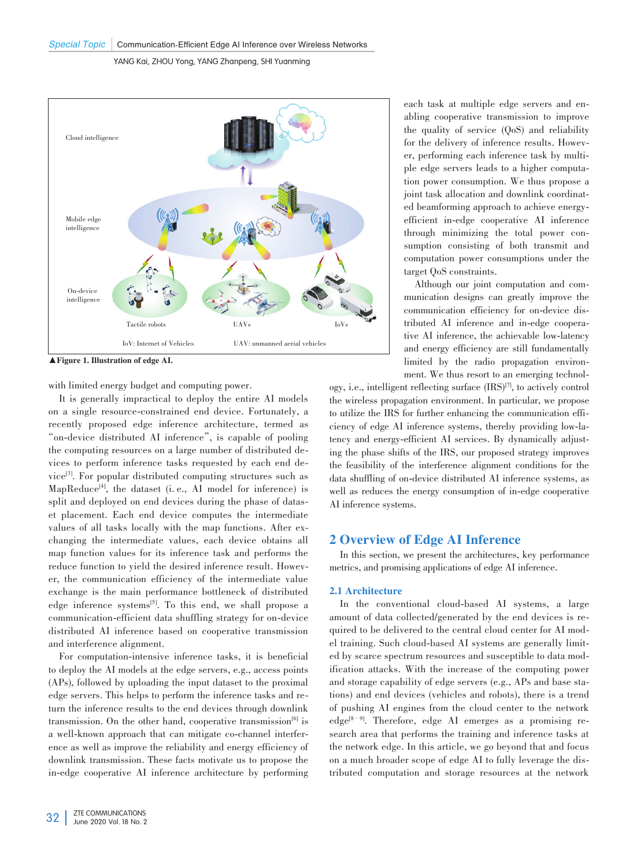

▲Figure 1. Illustration of edge AI.

with limited energy budget and computing power.

It is generally impractical to deploy the entire AI models on a single resource-constrained end device. Fortunately, a recently proposed edge inference architecture, termed as "on-device distributed AI inference", is capable of pooling the computing resources on a large number of distributed devices to perform inference tasks requested by each end de⁃ vice<sup>[3]</sup>. For popular distributed computing structures such as MapReduce<sup>[4]</sup>, the dataset (i. e., AI model for inference) is split and deployed on end devices during the phase of dataset placement. Each end device computes the intermediate values of all tasks locally with the map functions. After exchanging the intermediate values, each device obtains all map function values for its inference task and performs the reduce function to yield the desired inference result. However, the communication efficiency of the intermediate value exchange is the main performance bottleneck of distributed edge inference systems<sup>[5]</sup>. To this end, we shall propose a communication-efficient data shuffling strategy for on-device distributed AI inference based on cooperative transmission and interference alignment.

For computation-intensive inference tasks, it is beneficial to deploy the AI models at the edge servers, e.g., access points (APs), followed by uploading the input dataset to the proximal edge servers. This helps to perform the inference tasks and return the inference results to the end devices through downlink transmission. On the other hand, cooperative transmission $[6]$  is a well-known approach that can mitigate co-channel interference as well as improve the reliability and energy efficiency of downlink transmission. These facts motivate us to propose the in-edge cooperative AI inference architecture by performing each task at multiple edge servers and enabling cooperative transmission to improve the quality of service (QoS) and reliability for the delivery of inference results. However, performing each inference task by multiple edge servers leads to a higher computation power consumption. We thus propose a joint task allocation and downlink coordinated beamforming approach to achieve energyefficient in-edge cooperative AI inference through minimizing the total power consumption consisting of both transmit and computation power consumptions under the target QoS constraints.

Although our joint computation and com⁃ munication designs can greatly improve the communication efficiency for on-device distributed AI inference and in-edge cooperative AI inference, the achievable low-latency and energy efficiency are still fundamentally limited by the radio propagation environment. We thus resort to an emerging technol-

ogy, i.e., intelligent reflecting surface  $(IRS)^{[7]}$ , to actively control the wireless propagation environment. In particular, we propose to utilize the IRS for further enhancing the communication efficiency of edge AI inference systems, thereby providing low-latency and energy-efficient AI services. By dynamically adjusting the phase shifts of the IRS, our proposed strategy improves the feasibility of the interference alignment conditions for the data shuffling of on-device distributed AI inference systems, as well as reduces the energy consumption of in-edge cooperative AI inference systems.

## 2 Overview of Edge AI Inference

In this section, we present the architectures, key performance metrics, and promising applications of edge AI inference.

#### 2.1 Architecture

In the conventional cloud-based AI systems, a large amount of data collected/generated by the end devices is required to be delivered to the central cloud center for AI model training. Such cloud-based AI systems are generally limited by scarce spectrum resources and susceptible to data modification attacks. With the increase of the computing power and storage capability of edge servers (e.g., APs and base stations) and end devices (vehicles and robots), there is a trend of pushing AI engines from the cloud center to the network edge<sup>[8-9]</sup>. Therefore, edge AI emerges as a promising research area that performs the training and inference tasks at the network edge. In this article, we go beyond that and focus on a much broader scope of edge AI to fully leverage the distributed computation and storage resources at the network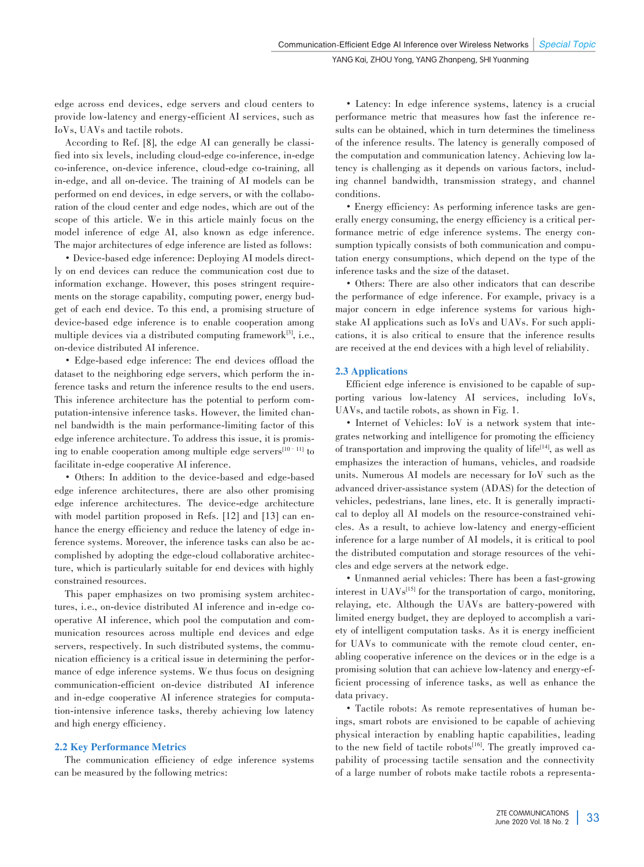edge across end devices, edge servers and cloud centers to provide low-latency and energy-efficient AI services, such as IoVs, UAVs and tactile robots.

According to Ref. [8], the edge AI can generally be classified into six levels, including cloud-edge co-inference, in-edge co-inference, on-device inference, cloud-edge co-training, all in-edge, and all on-device. The training of AI models can be performed on end devices, in edge servers, or with the collaboration of the cloud center and edge nodes, which are out of the scope of this article. We in this article mainly focus on the model inference of edge AI, also known as edge inference. The major architectures of edge inference are listed as follows:

• Device-based edge inference: Deploying AI models directly on end devices can reduce the communication cost due to information exchange. However, this poses stringent requirements on the storage capability, computing power, energy budget of each end device. To this end, a promising structure of device-based edge inference is to enable cooperation among multiple devices via a distributed computing framework<sup>[3]</sup>, i.e., on-device distributed AI inference.

• Edge-based edge inference: The end devices offload the dataset to the neighboring edge servers, which perform the inference tasks and return the inference results to the end users. This inference architecture has the potential to perform computation-intensive inference tasks. However, the limited channel bandwidth is the main performance-limiting factor of this edge inference architecture. To address this issue, it is promising to enable cooperation among multiple edge servers $[10-11]$  to facilitate in-edge cooperative AI inference.

• Others: In addition to the device-based and edge-based edge inference architectures, there are also other promising edge inference architectures. The device-edge architecture with model partition proposed in Refs. [12] and [13] can enhance the energy efficiency and reduce the latency of edge inference systems. Moreover, the inference tasks can also be accomplished by adopting the edge-cloud collaborative architecture, which is particularly suitable for end devices with highly constrained resources.

This paper emphasizes on two promising system architectures, i.e., on-device distributed AI inference and in-edge cooperative AI inference, which pool the computation and com⁃ munication resources across multiple end devices and edge servers, respectively. In such distributed systems, the communication efficiency is a critical issue in determining the performance of edge inference systems. We thus focus on designing communication-efficient on-device distributed AI inference and in-edge cooperative AI inference strategies for computation-intensive inference tasks, thereby achieving low latency and high energy efficiency.

#### 2.2 Key Performance Metrics

The communication efficiency of edge inference systems can be measured by the following metrics:

• Latency: In edge inference systems, latency is a crucial performance metric that measures how fast the inference re⁃ sults can be obtained, which in turn determines the timeliness of the inference results. The latency is generally composed of the computation and communication latency. Achieving low latency is challenging as it depends on various factors, including channel bandwidth, transmission strategy, and channel conditions.

• Energy efficiency: As performing inference tasks are generally energy consuming, the energy efficiency is a critical performance metric of edge inference systems. The energy consumption typically consists of both communication and computation energy consumptions, which depend on the type of the inference tasks and the size of the dataset.

• Others: There are also other indicators that can describe the performance of edge inference. For example, privacy is a major concern in edge inference systems for various highstake AI applications such as IoVs and UAVs. For such applications, it is also critical to ensure that the inference results are received at the end devices with a high level of reliability.

#### 2.3 Applications

Efficient edge inference is envisioned to be capable of supporting various low-latency AI services, including IoVs, UAVs, and tactile robots, as shown in Fig. 1.

• Internet of Vehicles: IoV is a network system that integrates networking and intelligence for promoting the efficiency of transportation and improving the quality of  $life$ <sup>[14]</sup>, as well as emphasizes the interaction of humans, vehicles, and roadside units. Numerous AI models are necessary for IoV such as the advanced driver-assistance system (ADAS) for the detection of vehicles, pedestrians, lane lines, etc. It is generally impractical to deploy all AI models on the resource-constrained vehicles. As a result, to achieve low-latency and energy-efficient inference for a large number of AI models, it is critical to pool the distributed computation and storage resources of the vehicles and edge servers at the network edge.

• Unmanned aerial vehicles: There has been a fast-growing interest in UAVs[15] for the transportation of cargo, monitoring, relaying, etc. Although the UAVs are battery-powered with limited energy budget, they are deployed to accomplish a variety of intelligent computation tasks. As it is energy inefficient for UAVs to communicate with the remote cloud center, enabling cooperative inference on the devices or in the edge is a promising solution that can achieve low-latency and energy-efficient processing of inference tasks, as well as enhance the data privacy.

• Tactile robots: As remote representatives of human beings, smart robots are envisioned to be capable of achieving physical interaction by enabling haptic capabilities, leading to the new field of tactile robots<sup>[16]</sup>. The greatly improved capability of processing tactile sensation and the connectivity of a large number of robots make tactile robots a representa-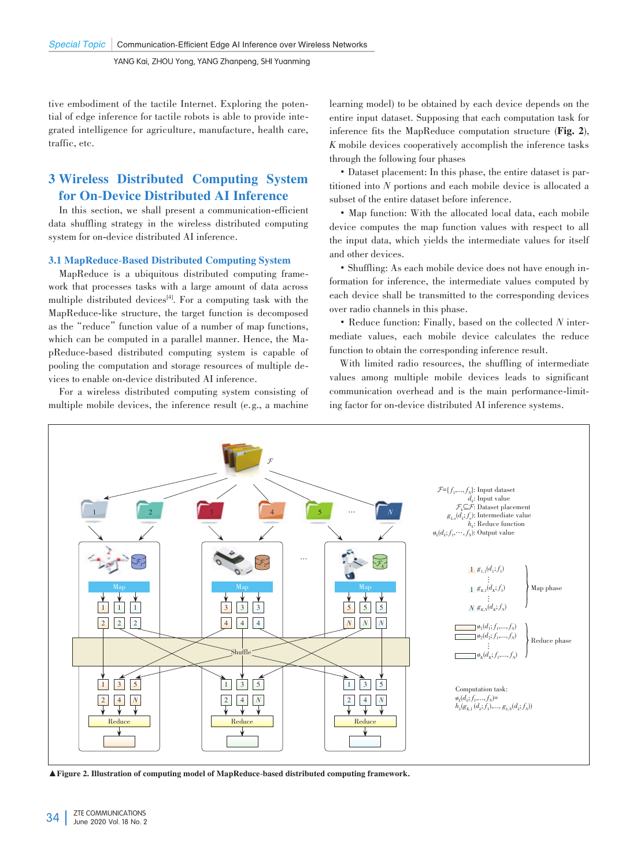tive embodiment of the tactile Internet. Exploring the potential of edge inference for tactile robots is able to provide integrated intelligence for agriculture, manufacture, health care, traffic, etc.

# 3 Wireless Distributed Computing System for On-Device Distributed AI Inference

In this section, we shall present a communication-efficient data shuffling strategy in the wireless distributed computing system for on-device distributed AI inference.

### 3.1 MapReduce-Based Distributed Computing System

MapReduce is a ubiquitous distributed computing frame work that processes tasks with a large amount of data across multiple distributed devices<sup>[4]</sup>. For a computing task with the MapReduce-like structure, the target function is decomposed as the "reduce" function value of a number of map functions, which can be computed in a parallel manner. Hence, the MapReduce-based distributed computing system is capable of pooling the computation and storage resources of multiple de⁃ vices to enable on-device distributed AI inference.

For a wireless distributed computing system consisting of multiple mobile devices, the inference result (e.g., a machine learning model) to be obtained by each device depends on the entire input dataset. Supposing that each computation task for inference fits the MapReduce computation structure (Fig. 2), *K* mobile devices cooperatively accomplish the inference tasks through the following four phases

• Dataset placement: In this phase, the entire dataset is partitioned into *N* portions and each mobile device is allocated a subset of the entire dataset before inference.

• Map function: With the allocated local data, each mobile device computes the map function values with respect to all the input data, which yields the intermediate values for itself and other devices.

• Shuffling: As each mobile device does not have enough information for inference, the intermediate values computed by each device shall be transmitted to the corresponding devices over radio channels in this phase.

• Reduce function: Finally, based on the collected N intermediate values, each mobile device calculates the reduce function to obtain the corresponding inference result.

With limited radio resources, the shuffling of intermediate values among multiple mobile devices leads to significant communication overhead and is the main performance-limiting factor for on-device distributed AI inference systems.



▲Figure 2. Illustration of computing model of MapReduce-based distributed computing framework.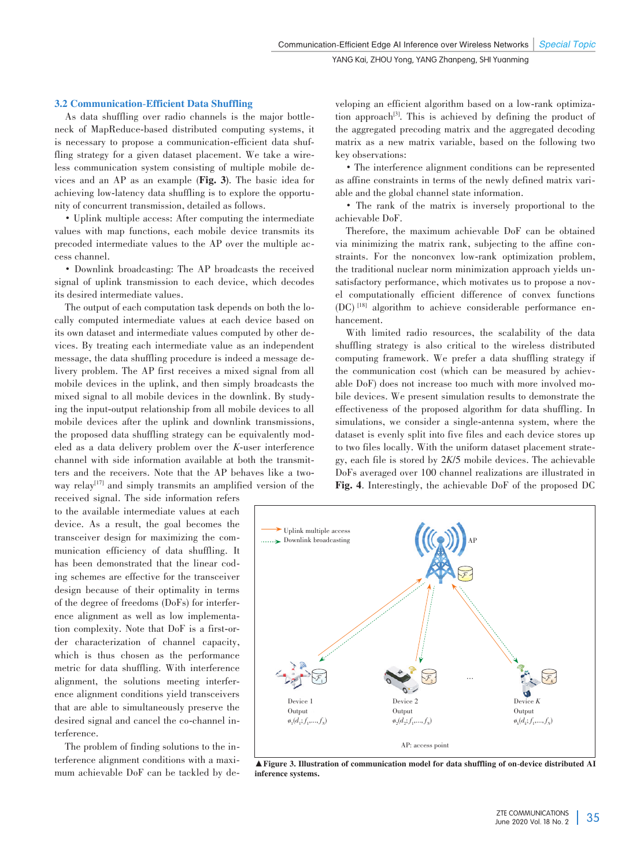#### 3.2 Communication-Efficient Data Shuffling

As data shuffling over radio channels is the major bottleneck of MapReduce-based distributed computing systems, it is necessary to propose a communication-efficient data shuffling strategy for a given dataset placement. We take a wireless communication system consisting of multiple mobile de⁃ vices and an AP as an example (Fig. 3**)**. The basic idea for achieving low-latency data shuffling is to explore the opportunity of concurrent transmission, detailed as follows.

• Uplink multiple access: After computing the intermediate values with map functions, each mobile device transmits its precoded intermediate values to the AP over the multiple access channel.

• Downlink broadcasting: The AP broadcasts the received signal of uplink transmission to each device, which decodes its desired intermediate values.

The output of each computation task depends on both the locally computed intermediate values at each device based on its own dataset and intermediate values computed by other devices. By treating each intermediate value as an independent message, the data shuffling procedure is indeed a message delivery problem. The AP first receives a mixed signal from all mobile devices in the uplink, and then simply broadcasts the mixed signal to all mobile devices in the downlink. By studying the input-output relationship from all mobile devices to all mobile devices after the uplink and downlink transmissions, the proposed data shuffling strategy can be equivalently modeled as a data delivery problem over the *K*-user interference channel with side information available at both the transmitters and the receivers. Note that the AP behaves like a twoway relay<sup>[17]</sup> and simply transmits an amplified version of the

received signal. The side information refers to the available intermediate values at each device. As a result, the goal becomes the transceiver design for maximizing the com⁃ munication efficiency of data shuffling. It has been demonstrated that the linear coding schemes are effective for the transceiver design because of their optimality in terms of the degree of freedoms (DoFs) for interference alignment as well as low implementation complexity. Note that DoF is a first-order characterization of channel capacity, which is thus chosen as the performance metric for data shuffling. With interference alignment, the solutions meeting interference alignment conditions yield transceivers that are able to simultaneously preserve the desired signal and cancel the co-channel interference.

The problem of finding solutions to the interference alignment conditions with a maximum achievable DoF can be tackled by developing an efficient algorithm based on a low-rank optimization approach<sup>[3]</sup>. This is achieved by defining the product of the aggregated precoding matrix and the aggregated decoding matrix as a new matrix variable, based on the following two key observations:

• The interference alignment conditions can be represented as affine constraints in terms of the newly defined matrix variable and the global channel state information.

• The rank of the matrix is inversely proportional to the achievable DoF.

Therefore, the maximum achievable DoF can be obtained via minimizing the matrix rank, subjecting to the affine constraints. For the nonconvex low-rank optimization problem, the traditional nuclear norm minimization approach yields unsatisfactory performance, which motivates us to propose a novel computationally efficient difference of convex functions (DC)<sup>[18]</sup> algorithm to achieve considerable performance enhancement.

With limited radio resources, the scalability of the data shuffling strategy is also critical to the wireless distributed computing framework. We prefer a data shuffling strategy if the communication cost (which can be measured by achievable DoF) does not increase too much with more involved mobile devices. We present simulation results to demonstrate the effectiveness of the proposed algorithm for data shuffling. In simulations, we consider a single-antenna system, where the dataset is evenly split into five files and each device stores up to two files locally. With the uniform dataset placement strategy, each file is stored by 2*K*/5 mobile devices. The achievable DoFs averaged over 100 channel realizations are illustrated in Fig. 4. Interestingly, the achievable DoF of the proposed DC



▲Figure 3. Illustration of communication model for data shuffling of on-device distributed AI inference systems.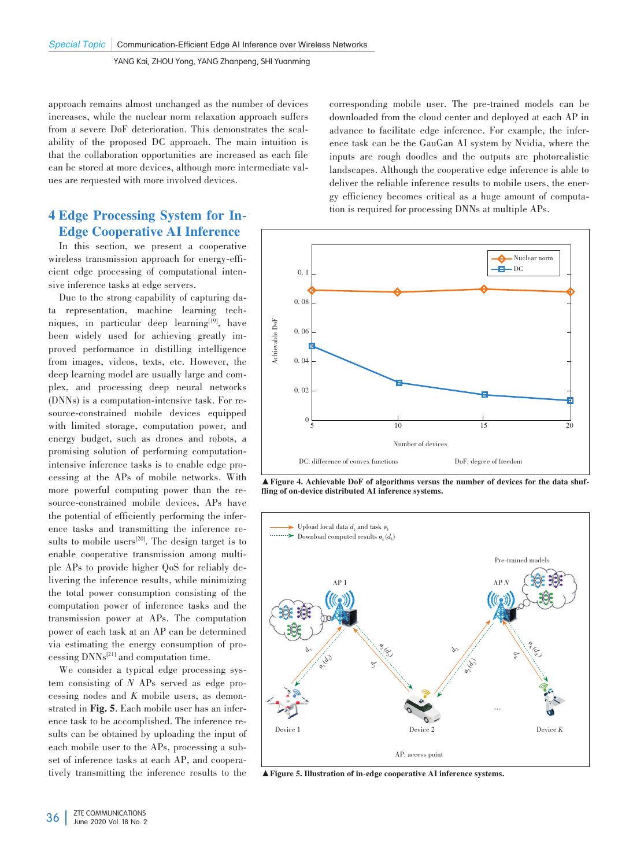approach remains almost unchanged as the number of devices increases, while the nuclear norm relaxation approach suffers from a severe DoF deterioration. This demonstrates the scalability of the proposed DC approach. The main intuition is that the collaboration opportunities are increased as each file can be stored at more devices, although more intermediate values are requested with more involved devices.

# 4 Edge Processing System for In-Edge Cooperative AI Inference

In this section, we present a cooperative wireless transmission approach for energy-efficient edge processing of computational intensive inference tasks at edge servers.

Due to the strong capability of capturing data representation, machine learning techniques, in particular deep learning<sup>[19]</sup>, have been widely used for achieving greatly improved performance in distilling intelligence from images, videos, texts, etc. However, the deep learning model are usually large and complex, and processing deep neural networks (DNNs) is a computation-intensive task. For re⁃ source-constrained mobile devices equipped with limited storage, computation power, and energy budget, such as drones and robots, a promising solution of performing computationintensive inference tasks is to enable edge processing at the APs of mobile networks. With more powerful computing power than the resource-constrained mobile devices, APs have the potential of efficiently performing the inference tasks and transmitting the inference results to mobile users<sup>[20]</sup>. The design target is to enable cooperative transmission among multiple APs to provide higher QoS for reliably de⁃ livering the inference results, while minimizing the total power consumption consisting of the computation power of inference tasks and the transmission power at APs. The computation power of each task at an AP can be determined via estimating the energy consumption of processing  $DNNs^{[21]}$  and computation time.

We consider a typical edge processing system consisting of *N* APs served as edge processing nodes and *K* mobile users, as demonstrated in Fig. 5. Each mobile user has an inference task to be accomplished. The inference results can be obtained by uploading the input of each mobile user to the APs, processing a subset of inference tasks at each AP, and cooperatively transmitting the inference results to the

corresponding mobile user. The pre-trained models can be downloaded from the cloud center and deployed at each AP in advance to facilitate edge inference. For example, the inference task can be the GauGan AI system by Nvidia, where the inputs are rough doodles and the outputs are photorealistic landscapes. Although the cooperative edge inference is able to deliver the reliable inference results to mobile users, the energy efficiency becomes critical as a huge amount of computation is required for processing DNNs at multiple APs.



 $\blacktriangle$  Figure 4. Achievable DoF of algorithms versus the number of devices for the data shuffling of on-device distributed AI inference systems.



▲Figure 5. Illustration of in-edge cooperative AI inference systems.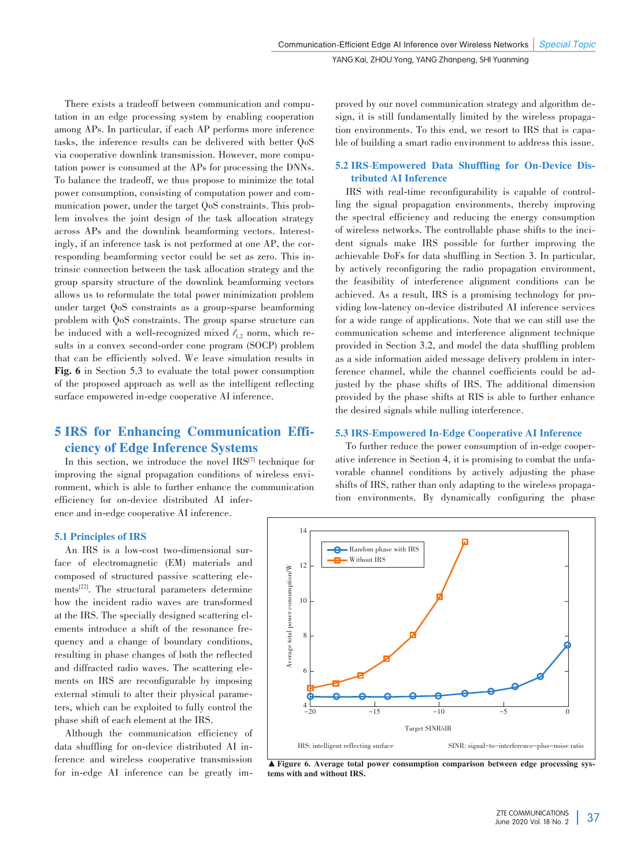There exists a tradeoff between communication and computation in an edge processing system by enabling cooperation among APs. In particular, if each AP performs more inference tasks, the inference results can be delivered with better QoS via cooperative downlink transmission. However, more computation power is consumed at the APs for processing the DNNs. To balance the tradeoff, we thus propose to minimize the total power consumption, consisting of computation power and communication power, under the target QoS constraints. This problem involves the joint design of the task allocation strategy across APs and the downlink beamforming vectors. Interestingly, if an inference task is not performed at one AP, the corresponding beamforming vector could be set as zero. This intrinsic connection between the task allocation strategy and the group sparsity structure of the downlink beamforming vectors allows us to reformulate the total power minimization problem under target QoS constraints as a group-sparse beamforming problem with QoS constraints. The group sparse structure can be induced with a well-recognized mixed  $\ell_{1,2}$  norm, which results in a convex second-order cone program (SOCP) problem that can be efficiently solved. We leave simulation results in Fig. 6 in Section 5.3 to evaluate the total power consumption of the proposed approach as well as the intelligent reflecting surface empowered in-edge cooperative AI inference.

# **5 IRS for Enhancing Communication Effi**ciency of Edge Inference Systems

In this section, we introduce the novel  $IRS^{[7]}$  technique for improving the signal propagation conditions of wireless environment, which is able to further enhance the communication efficiency for on-device distributed AI inference and in-edge cooperative AI inference.

5.1 Principles of IRS

An IRS is a low-cost two-dimensional surface of electromagnetic (EM) materials and composed of structured passive scattering elements[22] . The structural parameters determine how the incident radio waves are transformed at the IRS. The specially designed scattering el⁃ ements introduce a shift of the resonance frequency and a change of boundary conditions, resulting in phase changes of both the reflected and diffracted radio waves. The scattering elements on IRS are reconfigurable by imposing external stimuli to alter their physical parameters, which can be exploited to fully control the phase shift of each element at the IRS.

Although the communication efficiency of data shuffling for on-device distributed AI inference and wireless cooperative transmission for in-edge AI inference can be greatly improved by our novel communication strategy and algorithm design, it is still fundamentally limited by the wireless propagation environments. To this end, we resort to IRS that is capable of building a smart radio environment to address this issue.

## 5.2 IRS-Empowered Data Shuffling for On-Device Distributed AI Inference

IRS with real-time reconfigurability is capable of controlling the signal propagation environments, thereby improving the spectral efficiency and reducing the energy consumption of wireless networks. The controllable phase shifts to the incident signals make IRS possible for further improving the achievable DoFs for data shuffling in Section 3. In particular, by actively reconfiguring the radio propagation environment, the feasibility of interference alignment conditions can be achieved. As a result, IRS is a promising technology for providing low-latency on-device distributed AI inference services for a wide range of applications. Note that we can still use the communication scheme and interference alignment technique provided in Section 3.2, and model the data shuffling problem as a side information aided message delivery problem in interference channel, while the channel coefficients could be adjusted by the phase shifts of IRS. The additional dimension provided by the phase shifts at RIS is able to further enhance the desired signals while nulling interference.

## 5.3 IRS-Empowered In-Edge Cooperative AI Inference

To further reduce the power consumption of in-edge cooperative inference in Section 4, it is promising to combat the unfavorable channel conditions by actively adjusting the phase shifts of IRS, rather than only adapting to the wireless propagation environments. By dynamically configuring the phase



▲ Figure 6. Average total power consumption comparison between edge processing systems with and without IRS.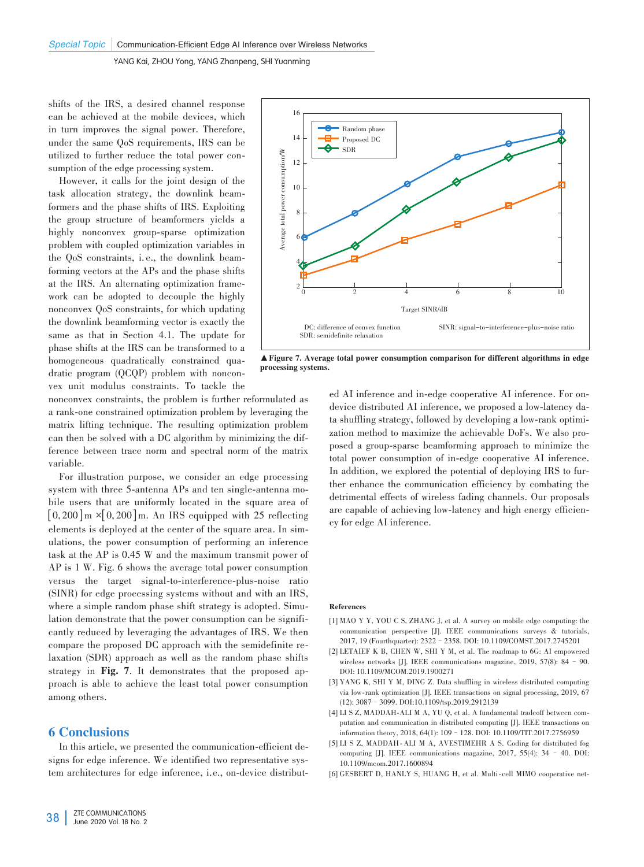shifts of the IRS, a desired channel response can be achieved at the mobile devices, which in turn improves the signal power. Therefore, under the same QoS requirements, IRS can be utilized to further reduce the total power con⁃ sumption of the edge processing system.

However, it calls for the joint design of the task allocation strategy, the downlink beam⁃ formers and the phase shifts of IRS. Exploiting the group structure of beamformers yields a highly nonconvex group-sparse optimization problem with coupled optimization variables in the QoS constraints, i.e., the downlink beamforming vectors at the APs and the phase shifts at the IRS. An alternating optimization framework can be adopted to decouple the highly nonconvex QoS constraints, for which updating the downlink beamforming vector is exactly the same as that in Section 4.1. The update for phase shifts at the IRS can be transformed to a homogeneous quadratically constrained quadratic program (QCQP) problem with nonconvex unit modulus constraints. To tackle the

nonconvex constraints, the problem is further reformulated as a rank-one constrained optimization problem by leveraging the matrix lifting technique. The resulting optimization problem can then be solved with a DC algorithm by minimizing the difference between trace norm and spectral norm of the matrix variable.

For illustration purpose, we consider an edge processing system with three 5-antenna APs and ten single-antenna mobile users that are uniformly located in the square area of  $[0, 200]$  m  $\times$  [0, 200] m. An IRS equipped with 25 reflecting elements is deployed at the center of the square area. In simulations, the power consumption of performing an inference task at the AP is 0.45 W and the maximum transmit power of AP is 1 W. Fig. 6 shows the average total power consumption versus the target signal-to-interference-plus-noise ratio (SINR) for edge processing systems without and with an IRS, where a simple random phase shift strategy is adopted. Simulation demonstrate that the power consumption can be significantly reduced by leveraging the advantages of IRS. We then compare the proposed DC approach with the semidefinite re⁃ laxation (SDR) approach as well as the random phase shifts strategy in Fig. 7. It demonstrates that the proposed approach is able to achieve the least total power consumption among others.

# 6 Conclusions

In this article, we presented the communication-efficient designs for edge inference. We identified two representative system architectures for edge inference, i.e., on-device distribut-



▲Figure 7. Average total power consumption comparison for different algorithms in edge processing systems.

ed AI inference and in-edge cooperative AI inference. For ondevice distributed AI inference, we proposed a low-latency data shuffling strategy, followed by developing a low-rank optimization method to maximize the achievable DoFs. We also proposed a group-sparse beamforming approach to minimize the total power consumption of in-edge cooperative AI inference. In addition, we explored the potential of deploying IRS to further enhance the communication efficiency by combating the detrimental effects of wireless fading channels. Our proposals are capable of achieving low-latency and high energy efficiency for edge AI inference.

#### References

- [1] MAO Y Y, YOU C S, ZHANG J, et al. A survey on mobile edge computing: the communication perspective [J]. IEEE communications surveys & tutorials, 2017, 19 (Fourthquarter): 2322–2358. DOI: 10.1109/COMST.2017.2745201
- [2] LETAIEF K B, CHEN W, SHI Y M, et al. The roadmap to 6G: AI empowered wireless networks [J]. IEEE communications magazine, 2019, 57(8): 84 – 90. DOI: 10.1109/MCOM.2019.1900271
- [3] YANG K, SHI Y M, DING Z. Data shuffling in wireless distributed computing via low-rank optimization [J]. IEEE transactions on signal processing, 2019, 67 (12): 3087–3099. DOI:10.1109/tsp.2019.2912139
- [4] LI S Z, MADDAH-ALI M A, YU Q, et al. A fundamental tradeoff between computation and communication in distributed computing [J]. IEEE transactions on information theory, 2018, 64(1): 109–128. DOI: 10.1109/TIT.2017.2756959
- [5] LI S Z, MADDAH-ALI M A, AVESTIMEHR A S. Coding for distributed fog computing [J]. IEEE communications magazine, 2017, 55(4): 34 – 40. DOI: 10.1109/mcom.2017.1600894
- [6] GESBERT D, HANLY S, HUANG H, et al. Multi-cell MIMO cooperative net-